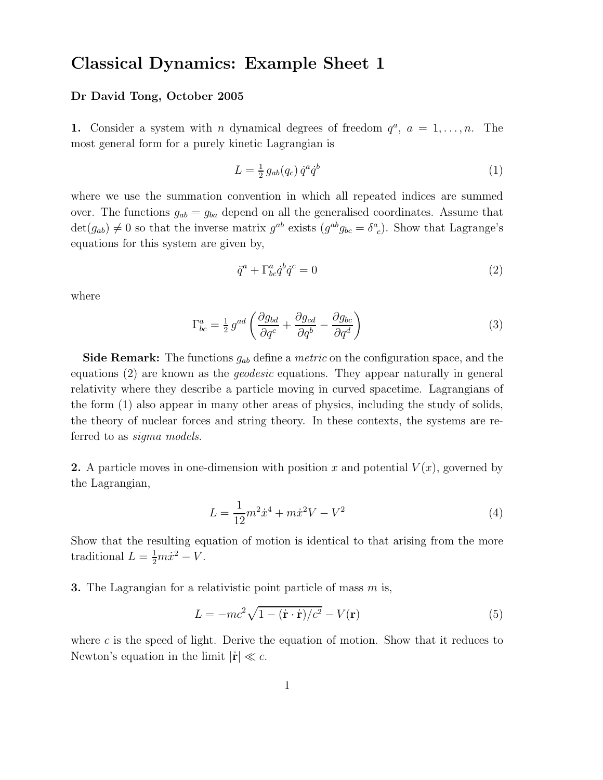## Classical Dynamics: Example Sheet 1

## Dr David Tong, October 2005

**1.** Consider a system with *n* dynamical degrees of freedom  $q^a$ ,  $a = 1, \ldots, n$ . The most general form for a purely kinetic Lagrangian is

$$
L = \frac{1}{2} g_{ab}(q_c) \dot{q}^a \dot{q}^b \tag{1}
$$

where we use the summation convention in which all repeated indices are summed over. The functions  $g_{ab} = g_{ba}$  depend on all the generalised coordinates. Assume that  $\det(g_{ab}) \neq 0$  so that the inverse matrix  $g^{ab}$  exists  $(g^{ab}g_{bc} = \delta^a{}_c)$ . Show that Lagrange's equations for this system are given by,

$$
\ddot{q}^a + \Gamma^a_{bc} \dot{q}^b \dot{q}^c = 0 \tag{2}
$$

where

$$
\Gamma_{bc}^{a} = \frac{1}{2} g^{ad} \left( \frac{\partial g_{bd}}{\partial q^c} + \frac{\partial g_{cd}}{\partial q^b} - \frac{\partial g_{bc}}{\partial q^d} \right)
$$
\n(3)

**Side Remark:** The functions  $g_{ab}$  define a *metric* on the configuration space, and the equations (2) are known as the geodesic equations. They appear naturally in general relativity where they describe a particle moving in curved spacetime. Lagrangians of the form (1) also appear in many other areas of physics, including the study of solids, the theory of nuclear forces and string theory. In these contexts, the systems are referred to as sigma models.

2. A particle moves in one-dimension with position x and potential  $V(x)$ , governed by the Lagrangian,

$$
L = \frac{1}{12}m^2\dot{x}^4 + m\dot{x}^2V - V^2
$$
\n(4)

Show that the resulting equation of motion is identical to that arising from the more traditional  $L = \frac{1}{2}m\dot{x}^2 - V$ .

**3.** The Lagrangian for a relativistic point particle of mass  $m$  is,

$$
L = -mc^2\sqrt{1 - (\dot{\mathbf{r}} \cdot \dot{\mathbf{r}})/c^2} - V(\mathbf{r})
$$
\n(5)

where  $c$  is the speed of light. Derive the equation of motion. Show that it reduces to Newton's equation in the limit  $|\mathbf{r}| \ll c$ .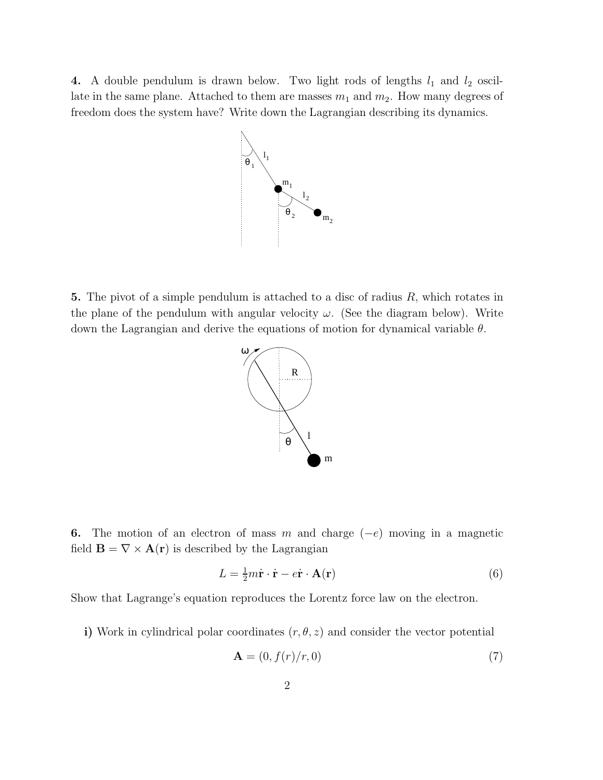4. A double pendulum is drawn below. Two light rods of lengths  $l_1$  and  $l_2$  oscillate in the same plane. Attached to them are masses  $m_1$  and  $m_2$ . How many degrees of freedom does the system have? Write down the Lagrangian describing its dynamics.



5. The pivot of a simple pendulum is attached to a disc of radius  $R$ , which rotates in the plane of the pendulum with angular velocity  $\omega$ . (See the diagram below). Write down the Lagrangian and derive the equations of motion for dynamical variable  $\theta$ .



6. The motion of an electron of mass m and charge  $(-e)$  moving in a magnetic field  $\mathbf{B} = \nabla \times \mathbf{A}(\mathbf{r})$  is described by the Lagrangian

$$
L = \frac{1}{2}m\dot{\mathbf{r}} \cdot \dot{\mathbf{r}} - e\dot{\mathbf{r}} \cdot \mathbf{A}(\mathbf{r})
$$
 (6)

Show that Lagrange's equation reproduces the Lorentz force law on the electron.

i) Work in cylindrical polar coordinates  $(r, \theta, z)$  and consider the vector potential

$$
\mathbf{A} = (0, f(r)/r, 0) \tag{7}
$$